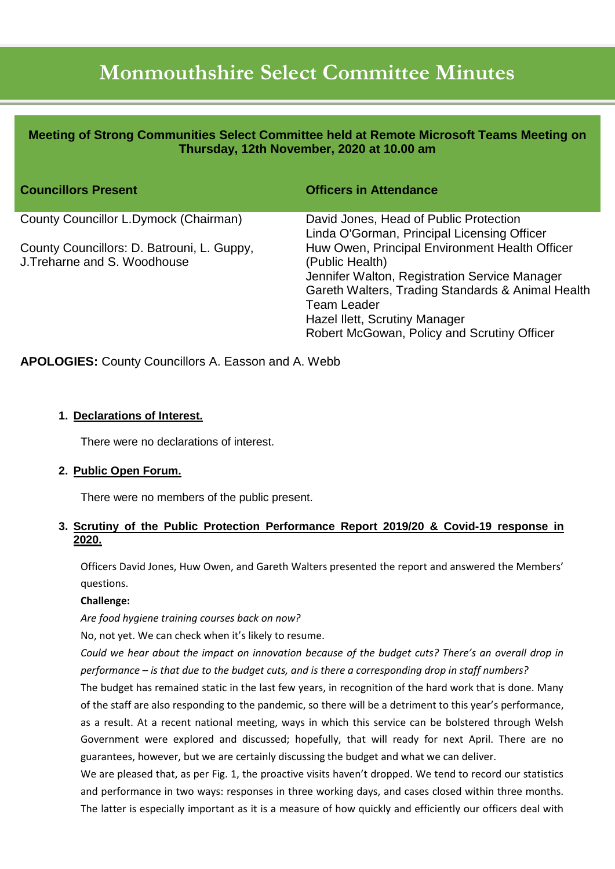# **Monmouthshire Select Committee Minutes**

| Meeting of Strong Communities Select Committee held at Remote Microsoft Teams Meeting on<br>Thursday, 12th November, 2020 at 10.00 am |                                                                                                                                                                                                                                                                               |
|---------------------------------------------------------------------------------------------------------------------------------------|-------------------------------------------------------------------------------------------------------------------------------------------------------------------------------------------------------------------------------------------------------------------------------|
| <b>Councillors Present</b>                                                                                                            | <b>Officers in Attendance</b>                                                                                                                                                                                                                                                 |
| County Councillor L.Dymock (Chairman)                                                                                                 | David Jones, Head of Public Protection<br>Linda O'Gorman, Principal Licensing Officer                                                                                                                                                                                         |
| County Councillors: D. Batrouni, L. Guppy,<br>J. Treharne and S. Woodhouse                                                            | Huw Owen, Principal Environment Health Officer<br>(Public Health)<br>Jennifer Walton, Registration Service Manager<br>Gareth Walters, Trading Standards & Animal Health<br><b>Team Leader</b><br>Hazel Ilett, Scrutiny Manager<br>Robert McGowan, Policy and Scrutiny Officer |

**APOLOGIES:** County Councillors A. Easson and A. Webb

## **1. Declarations of Interest.**

There were no declarations of interest.

## **2. Public Open Forum.**

There were no members of the public present.

## **3. Scrutiny of the Public Protection Performance Report 2019/20 & Covid-19 response in 2020.**

Officers David Jones, Huw Owen, and Gareth Walters presented the report and answered the Members' questions.

#### **Challenge:**

*Are food hygiene training courses back on now?*

No, not yet. We can check when it's likely to resume.

*Could we hear about the impact on innovation because of the budget cuts? There's an overall drop in performance – is that due to the budget cuts, and is there a corresponding drop in staff numbers?*

The budget has remained static in the last few years, in recognition of the hard work that is done. Many of the staff are also responding to the pandemic, so there will be a detriment to this year's performance, as a result. At a recent national meeting, ways in which this service can be bolstered through Welsh Government were explored and discussed; hopefully, that will ready for next April. There are no guarantees, however, but we are certainly discussing the budget and what we can deliver.

We are pleased that, as per Fig. 1, the proactive visits haven't dropped. We tend to record our statistics and performance in two ways: responses in three working days, and cases closed within three months. The latter is especially important as it is a measure of how quickly and efficiently our officers deal with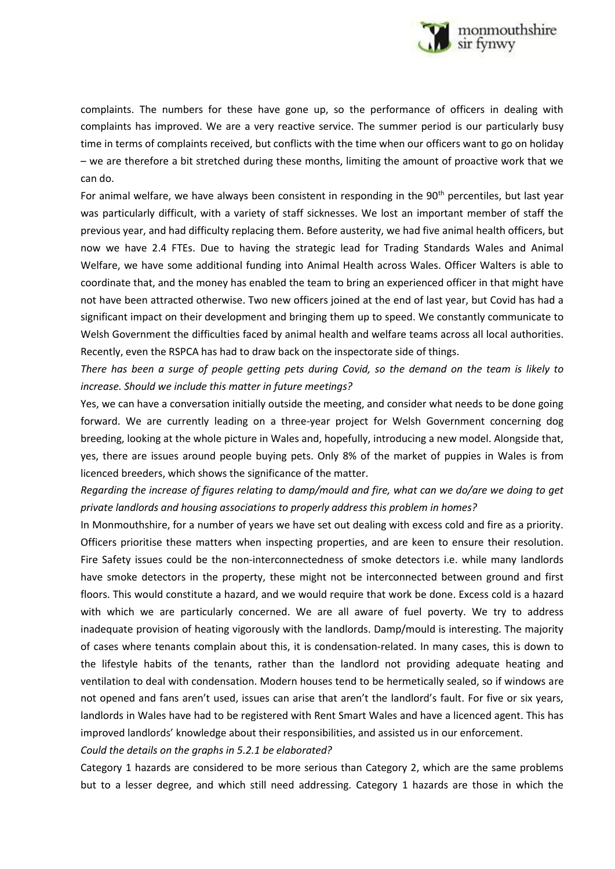

complaints. The numbers for these have gone up, so the performance of officers in dealing with complaints has improved. We are a very reactive service. The summer period is our particularly busy time in terms of complaints received, but conflicts with the time when our officers want to go on holiday – we are therefore a bit stretched during these months, limiting the amount of proactive work that we can do.

For animal welfare, we have always been consistent in responding in the  $90<sup>th</sup>$  percentiles, but last year was particularly difficult, with a variety of staff sicknesses. We lost an important member of staff the previous year, and had difficulty replacing them. Before austerity, we had five animal health officers, but now we have 2.4 FTEs. Due to having the strategic lead for Trading Standards Wales and Animal Welfare, we have some additional funding into Animal Health across Wales. Officer Walters is able to coordinate that, and the money has enabled the team to bring an experienced officer in that might have not have been attracted otherwise. Two new officers joined at the end of last year, but Covid has had a significant impact on their development and bringing them up to speed. We constantly communicate to Welsh Government the difficulties faced by animal health and welfare teams across all local authorities. Recently, even the RSPCA has had to draw back on the inspectorate side of things.

*There has been a surge of people getting pets during Covid, so the demand on the team is likely to increase. Should we include this matter in future meetings?*

Yes, we can have a conversation initially outside the meeting, and consider what needs to be done going forward. We are currently leading on a three-year project for Welsh Government concerning dog breeding, looking at the whole picture in Wales and, hopefully, introducing a new model. Alongside that, yes, there are issues around people buying pets. Only 8% of the market of puppies in Wales is from licenced breeders, which shows the significance of the matter.

*Regarding the increase of figures relating to damp/mould and fire, what can we do/are we doing to get private landlords and housing associations to properly address this problem in homes?*

In Monmouthshire, for a number of years we have set out dealing with excess cold and fire as a priority. Officers prioritise these matters when inspecting properties, and are keen to ensure their resolution. Fire Safety issues could be the non-interconnectedness of smoke detectors i.e. while many landlords have smoke detectors in the property, these might not be interconnected between ground and first floors. This would constitute a hazard, and we would require that work be done. Excess cold is a hazard with which we are particularly concerned. We are all aware of fuel poverty. We try to address inadequate provision of heating vigorously with the landlords. Damp/mould is interesting. The majority of cases where tenants complain about this, it is condensation-related. In many cases, this is down to the lifestyle habits of the tenants, rather than the landlord not providing adequate heating and ventilation to deal with condensation. Modern houses tend to be hermetically sealed, so if windows are not opened and fans aren't used, issues can arise that aren't the landlord's fault. For five or six years, landlords in Wales have had to be registered with Rent Smart Wales and have a licenced agent. This has improved landlords' knowledge about their responsibilities, and assisted us in our enforcement.

*Could the details on the graphs in 5.2.1 be elaborated?*

Category 1 hazards are considered to be more serious than Category 2, which are the same problems but to a lesser degree, and which still need addressing. Category 1 hazards are those in which the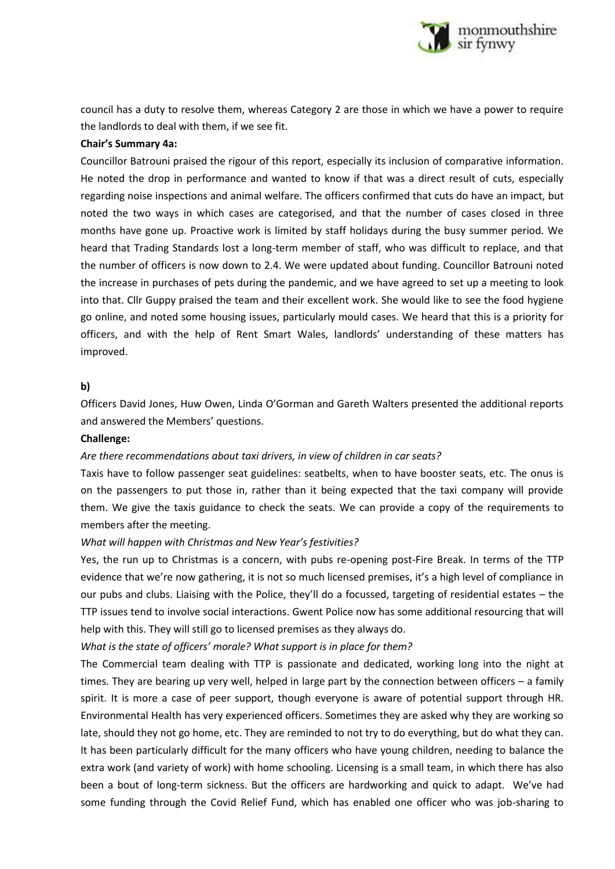

council has a duty to resolve them, whereas Category 2 are those in which we have a power to require the landlords to deal with them, if we see fit.

#### **Chair's Summary 4a:**

Councillor Batrouni praised the rigour of this report, especially its inclusion of comparative information. He noted the drop in performance and wanted to know if that was a direct result of cuts, especially regarding noise inspections and animal welfare. The officers confirmed that cuts do have an impact, but noted the two ways in which cases are categorised, and that the number of cases closed in three months have gone up. Proactive work is limited by staff holidays during the busy summer period. We heard that Trading Standards lost a long-term member of staff, who was difficult to replace, and that the number of officers is now down to 2.4. We were updated about funding. Councillor Batrouni noted the increase in purchases of pets during the pandemic, and we have agreed to set up a meeting to look into that. Cllr Guppy praised the team and their excellent work. She would like to see the food hygiene go online, and noted some housing issues, particularly mould cases. We heard that this is a priority for officers, and with the help of Rent Smart Wales, landlords' understanding of these matters has improved.

#### **b)**

Officers David Jones, Huw Owen, Linda O'Gorman and Gareth Walters presented the additional reports and answered the Members' questions.

#### **Challenge:**

#### *Are there recommendations about taxi drivers, in view of children in car seats?*

Taxis have to follow passenger seat guidelines: seatbelts, when to have booster seats, etc. The onus is on the passengers to put those in, rather than it being expected that the taxi company will provide them. We give the taxis guidance to check the seats. We can provide a copy of the requirements to members after the meeting.

#### *What will happen with Christmas and New Year's festivities?*

Yes, the run up to Christmas is a concern, with pubs re-opening post-Fire Break. In terms of the TTP evidence that we're now gathering, it is not so much licensed premises, it's a high level of compliance in our pubs and clubs. Liaising with the Police, they'll do a focussed, targeting of residential estates – the TTP issues tend to involve social interactions. Gwent Police now has some additional resourcing that will help with this. They will still go to licensed premises as they always do.

#### *What is the state of officers' morale? What support is in place for them?*

The Commercial team dealing with TTP is passionate and dedicated, working long into the night at times. They are bearing up very well, helped in large part by the connection between officers – a family spirit. It is more a case of peer support, though everyone is aware of potential support through HR. Environmental Health has very experienced officers. Sometimes they are asked why they are working so late, should they not go home, etc. They are reminded to not try to do everything, but do what they can. It has been particularly difficult for the many officers who have young children, needing to balance the extra work (and variety of work) with home schooling. Licensing is a small team, in which there has also been a bout of long-term sickness. But the officers are hardworking and quick to adapt. We've had some funding through the Covid Relief Fund, which has enabled one officer who was job-sharing to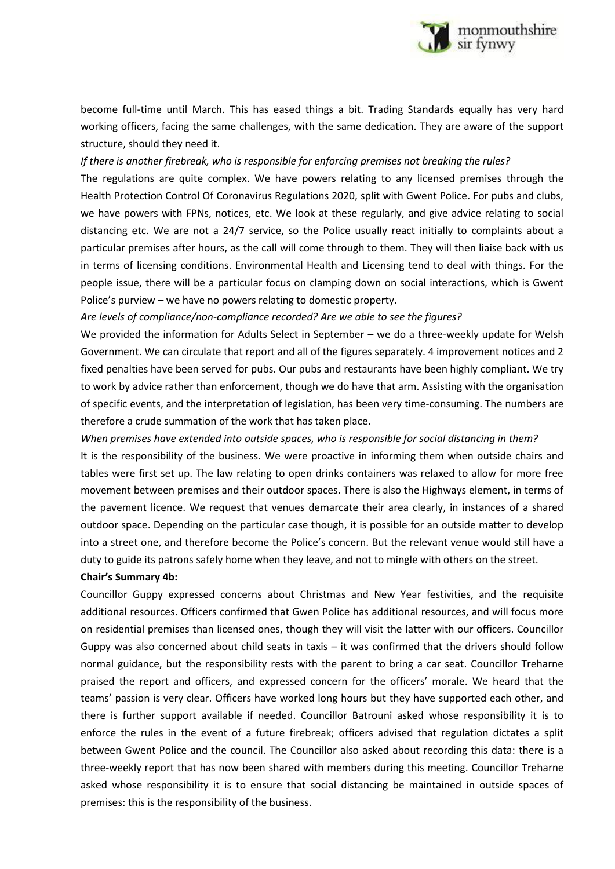

become full-time until March. This has eased things a bit. Trading Standards equally has very hard working officers, facing the same challenges, with the same dedication. They are aware of the support structure, should they need it.

#### *If there is another firebreak, who is responsible for enforcing premises not breaking the rules?*

The regulations are quite complex. We have powers relating to any licensed premises through the Health Protection Control Of Coronavirus Regulations 2020, split with Gwent Police. For pubs and clubs, we have powers with FPNs, notices, etc. We look at these regularly, and give advice relating to social distancing etc. We are not a 24/7 service, so the Police usually react initially to complaints about a particular premises after hours, as the call will come through to them. They will then liaise back with us in terms of licensing conditions. Environmental Health and Licensing tend to deal with things. For the people issue, there will be a particular focus on clamping down on social interactions, which is Gwent Police's purview – we have no powers relating to domestic property.

*Are levels of compliance/non-compliance recorded? Are we able to see the figures?*

We provided the information for Adults Select in September – we do a three-weekly update for Welsh Government. We can circulate that report and all of the figures separately. 4 improvement notices and 2 fixed penalties have been served for pubs. Our pubs and restaurants have been highly compliant. We try to work by advice rather than enforcement, though we do have that arm. Assisting with the organisation of specific events, and the interpretation of legislation, has been very time-consuming. The numbers are therefore a crude summation of the work that has taken place.

*When premises have extended into outside spaces, who is responsible for social distancing in them?* It is the responsibility of the business. We were proactive in informing them when outside chairs and tables were first set up. The law relating to open drinks containers was relaxed to allow for more free movement between premises and their outdoor spaces. There is also the Highways element, in terms of the pavement licence. We request that venues demarcate their area clearly, in instances of a shared outdoor space. Depending on the particular case though, it is possible for an outside matter to develop into a street one, and therefore become the Police's concern. But the relevant venue would still have a duty to guide its patrons safely home when they leave, and not to mingle with others on the street.

#### **Chair's Summary 4b:**

Councillor Guppy expressed concerns about Christmas and New Year festivities, and the requisite additional resources. Officers confirmed that Gwen Police has additional resources, and will focus more on residential premises than licensed ones, though they will visit the latter with our officers. Councillor Guppy was also concerned about child seats in taxis – it was confirmed that the drivers should follow normal guidance, but the responsibility rests with the parent to bring a car seat. Councillor Treharne praised the report and officers, and expressed concern for the officers' morale. We heard that the teams' passion is very clear. Officers have worked long hours but they have supported each other, and there is further support available if needed. Councillor Batrouni asked whose responsibility it is to enforce the rules in the event of a future firebreak; officers advised that regulation dictates a split between Gwent Police and the council. The Councillor also asked about recording this data: there is a three-weekly report that has now been shared with members during this meeting. Councillor Treharne asked whose responsibility it is to ensure that social distancing be maintained in outside spaces of premises: this is the responsibility of the business.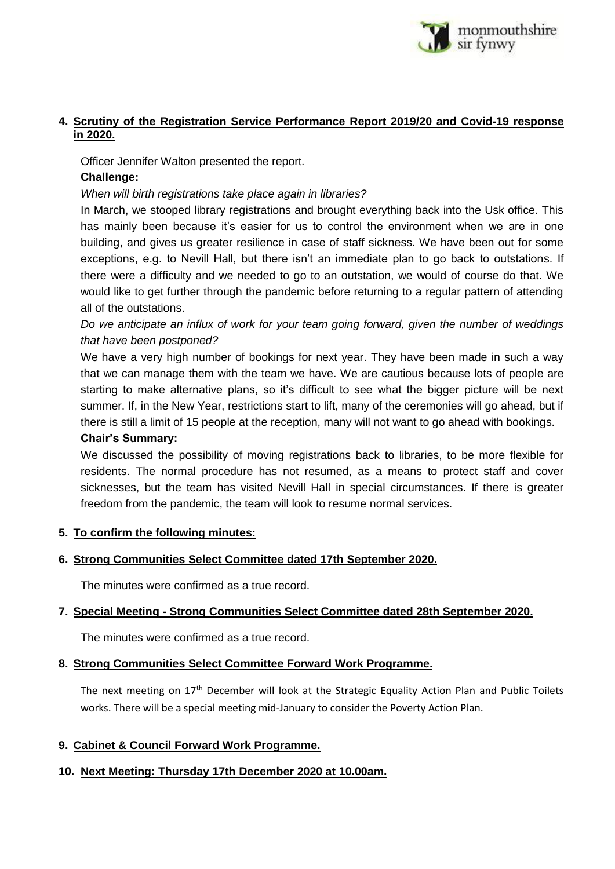

# **4. Scrutiny of the Registration Service Performance Report 2019/20 and Covid-19 response in 2020.**

Officer Jennifer Walton presented the report.

# **Challenge:**

## *When will birth registrations take place again in libraries?*

In March, we stooped library registrations and brought everything back into the Usk office. This has mainly been because it's easier for us to control the environment when we are in one building, and gives us greater resilience in case of staff sickness. We have been out for some exceptions, e.g. to Nevill Hall, but there isn't an immediate plan to go back to outstations. If there were a difficulty and we needed to go to an outstation, we would of course do that. We would like to get further through the pandemic before returning to a regular pattern of attending all of the outstations.

*Do we anticipate an influx of work for your team going forward, given the number of weddings that have been postponed?*

We have a very high number of bookings for next year. They have been made in such a way that we can manage them with the team we have. We are cautious because lots of people are starting to make alternative plans, so it's difficult to see what the bigger picture will be next summer. If, in the New Year, restrictions start to lift, many of the ceremonies will go ahead, but if there is still a limit of 15 people at the reception, many will not want to go ahead with bookings. **Chair's Summary:**

# We discussed the possibility of moving registrations back to libraries, to be more flexible for residents. The normal procedure has not resumed, as a means to protect staff and cover sicknesses, but the team has visited Nevill Hall in special circumstances. If there is greater freedom from the pandemic, the team will look to resume normal services.

## **5. To confirm the following minutes:**

# **6. Strong Communities Select Committee dated 17th September 2020.**

The minutes were confirmed as a true record.

# **7. Special Meeting - Strong Communities Select Committee dated 28th September 2020.**

The minutes were confirmed as a true record.

## **8. Strong Communities Select Committee Forward Work Programme.**

The next meeting on 17<sup>th</sup> December will look at the Strategic Equality Action Plan and Public Toilets works. There will be a special meeting mid-January to consider the Poverty Action Plan.

## **9. Cabinet & Council Forward Work Programme.**

## **10. Next Meeting: Thursday 17th December 2020 at 10.00am.**